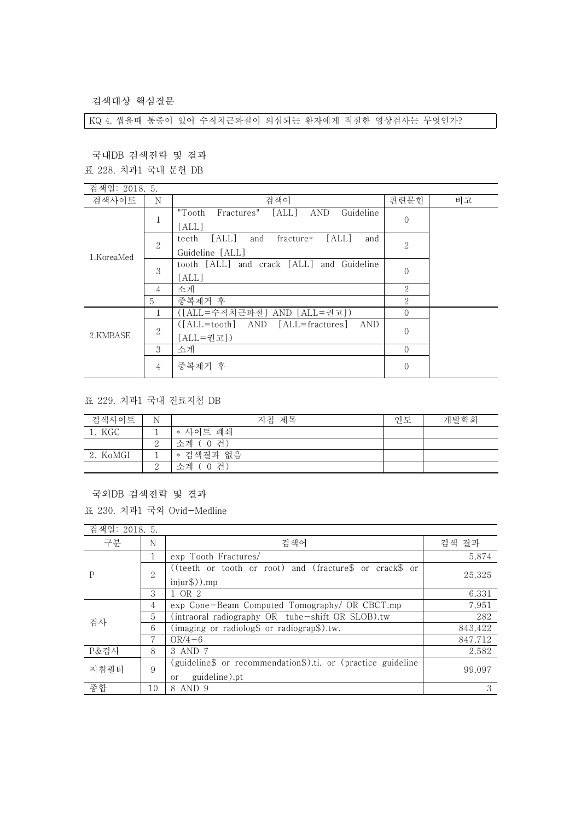검색대상 핵심질문

KQ 4. 씹을때 통증이 있어 수직치근파절이 의심되는 환자에게 적절한 영상검사는 무엇인가?

국내DB 검색전략 및 결과

표 228. 치과1 국내 문헌 DB

| 검색일: 2018. 5. |                |                                                          |                |    |
|---------------|----------------|----------------------------------------------------------|----------------|----|
| 검색사이트         | N              | 검색어                                                      | 관련문헌           | 비고 |
| 1.KoreaMed    | 1<br>T         | Guideline<br>[ALL]<br>"Tooth<br>Fractures"<br><b>AND</b> | $\overline{0}$ |    |
|               |                | [ALL]                                                    |                |    |
|               | $\mathbf{2}$   | [ALL]<br>[ALL]<br>teeth<br>fracture*<br>and<br>and       | $\overline{2}$ |    |
|               |                | Guideline [ALL]                                          |                |    |
|               | 3              | tooth [ALL] and crack [ALL] and Guideline                | $\theta$       |    |
|               |                | [ALL]                                                    |                |    |
|               | 4              | 소계                                                       | 2              |    |
|               | 5              | 중복제거 후                                                   | 2              |    |
| 2.KMBASE      |                | ([ALL=수직치근파절] AND [ALL=권고])                              | $\Omega$       |    |
|               | $\overline{2}$ | $[ALL = tooth]$<br>AND<br>[ALL=fractures]<br>AND         | $\overline{0}$ |    |
|               |                | [ALL=권고])                                                |                |    |
|               | 3              | 소계                                                       | $\Omega$       |    |
|               | $\overline{4}$ | 중복제거 후                                                   | $\overline{0}$ |    |
|               |                |                                                          |                |    |

표 229. 치과1 국내 진료지침 DB

| 검색사이트    | N | 지침 제목       | 연도 | 개발학회 |
|----------|---|-------------|----|------|
| 1. KGC   |   | * 사이트 폐쇄    |    |      |
|          |   | 소계 (0 건)    |    |      |
| 2. KoMGI |   | * 검색결과 없음   |    |      |
|          |   | 소계<br>-0 건) |    |      |

국외DB 검색전략 및 결과

표 230. 치과1 국외 Ovid-Medline

| 검색일: 2018. 5. |                |                                                                                     |         |
|---------------|----------------|-------------------------------------------------------------------------------------|---------|
| 구분            | N              | 검색어                                                                                 | 검색 결과   |
| P             |                | exp Tooth Fractures/                                                                | 5,874   |
|               | $\overline{2}$ | ((teeth or tooth or root) and (fracture\$ or crack\$ or<br>$injur$ \$)). $mp$       | 25.325  |
|               | 3              | 1 OR 2                                                                              | 6,331   |
| 검사            | 4              | exp Cone-Beam Computed Tomography/ OR CBCT.mp                                       | 7,951   |
|               | 5              | (intraoral radiography OR tube-shift OR SLOB).tw                                    | 282     |
|               | 6              | (imaging or radiolog $\text{\$}$ or radiograp $\text{\$}$ ).tw.                     | 843,422 |
|               | 7              | $OR/4-6$                                                                            | 847.712 |
| P&검사          | 8              | 3 AND 7                                                                             | 2,582   |
| 지침필터          | 9              | (guideline\$ or recommendation\$).ti. or (practice guideline<br>guideline).pt<br>or | 99,097  |
| 종합            | 10             | 8 AND 9                                                                             | 3       |